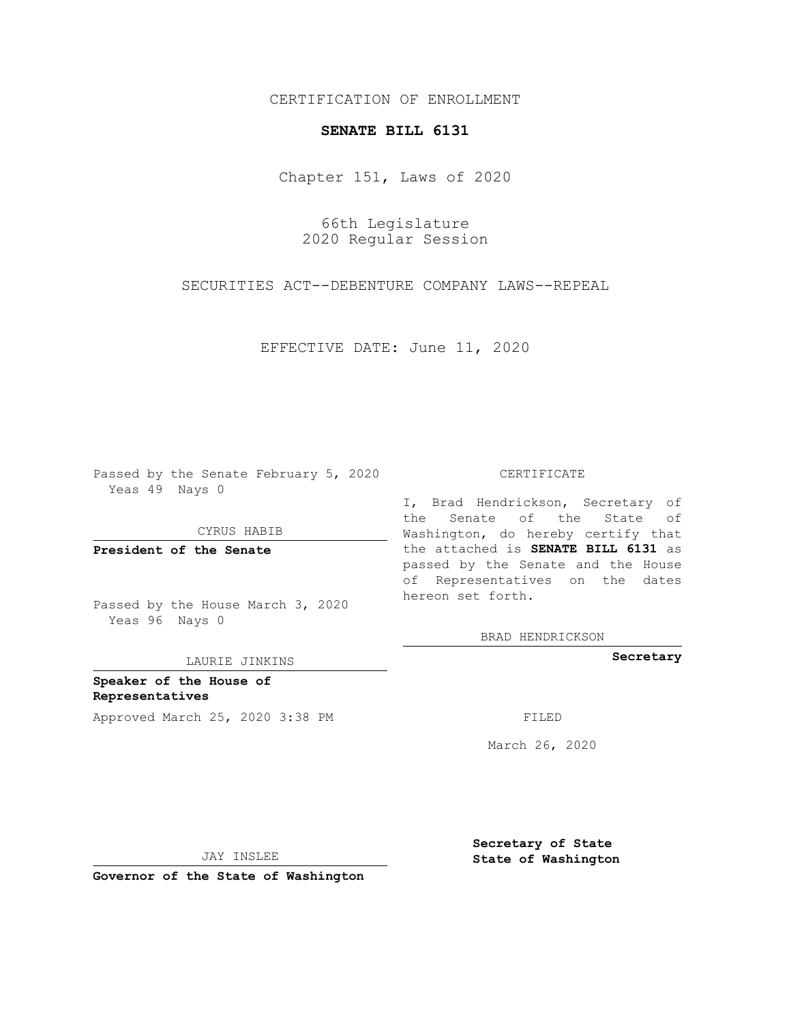CERTIFICATION OF ENROLLMENT

## **SENATE BILL 6131**

Chapter 151, Laws of 2020

66th Legislature 2020 Regular Session

SECURITIES ACT--DEBENTURE COMPANY LAWS--REPEAL

EFFECTIVE DATE: June 11, 2020

Passed by the Senate February 5, 2020 Yeas 49 Nays 0

CYRUS HABIB

**President of the Senate**

Passed by the House March 3, 2020 Yeas 96 Nays 0

LAURIE JINKINS

**Speaker of the House of Representatives** Approved March 25, 2020 3:38 PM

## CERTIFICATE

I, Brad Hendrickson, Secretary of the Senate of the State of Washington, do hereby certify that the attached is **SENATE BILL 6131** as passed by the Senate and the House of Representatives on the dates hereon set forth.

BRAD HENDRICKSON

**Secretary**

March 26, 2020

JAY INSLEE

**Governor of the State of Washington**

**Secretary of State State of Washington**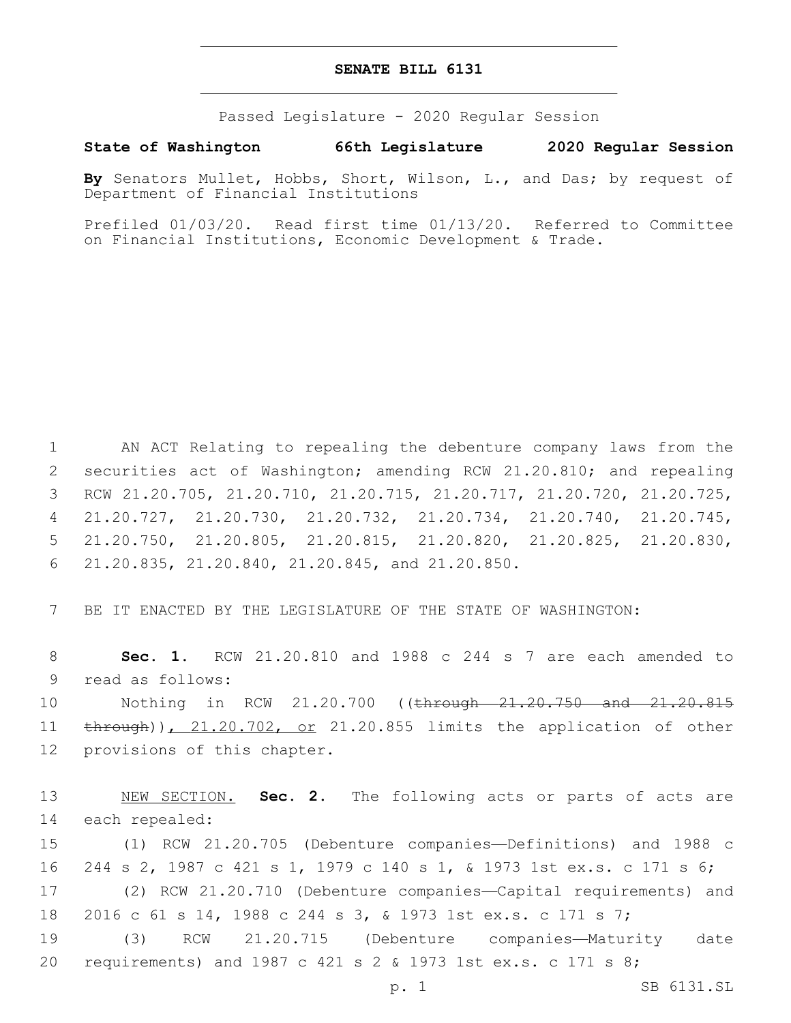## **SENATE BILL 6131**

Passed Legislature - 2020 Regular Session

**State of Washington 66th Legislature 2020 Regular Session**

**By** Senators Mullet, Hobbs, Short, Wilson, L., and Das; by request of Department of Financial Institutions

Prefiled 01/03/20. Read first time 01/13/20. Referred to Committee on Financial Institutions, Economic Development & Trade.

 AN ACT Relating to repealing the debenture company laws from the 2 securities act of Washington; amending RCW 21.20.810; and repealing RCW 21.20.705, 21.20.710, 21.20.715, 21.20.717, 21.20.720, 21.20.725, 21.20.727, 21.20.730, 21.20.732, 21.20.734, 21.20.740, 21.20.745, 21.20.750, 21.20.805, 21.20.815, 21.20.820, 21.20.825, 21.20.830, 21.20.835, 21.20.840, 21.20.845, and 21.20.850.6

7 BE IT ENACTED BY THE LEGISLATURE OF THE STATE OF WASHINGTON:

8 **Sec. 1.** RCW 21.20.810 and 1988 c 244 s 7 are each amended to 9 read as follows:

10 Nothing in RCW 21.20.700 ((through 21.20.750 and 21.20.815 11 through)), 21.20.702, or 21.20.855 limits the application of other 12 provisions of this chapter.

13 NEW SECTION. **Sec. 2.** The following acts or parts of acts are 14 each repealed:

 (1) RCW 21.20.705 (Debenture companies—Definitions) and 1988 c 244 s 2, 1987 c 421 s 1, 1979 c 140 s 1, & 1973 1st ex.s. c 171 s 6; (2) RCW 21.20.710 (Debenture companies—Capital requirements) and 2016 c 61 s 14, 1988 c 244 s 3, & 1973 1st ex.s. c 171 s 7;

19 (3) RCW 21.20.715 (Debenture companies—Maturity date 20 requirements) and 1987 c 421 s 2 & 1973 1st ex.s. c 171 s 8;

p. 1 SB 6131.SL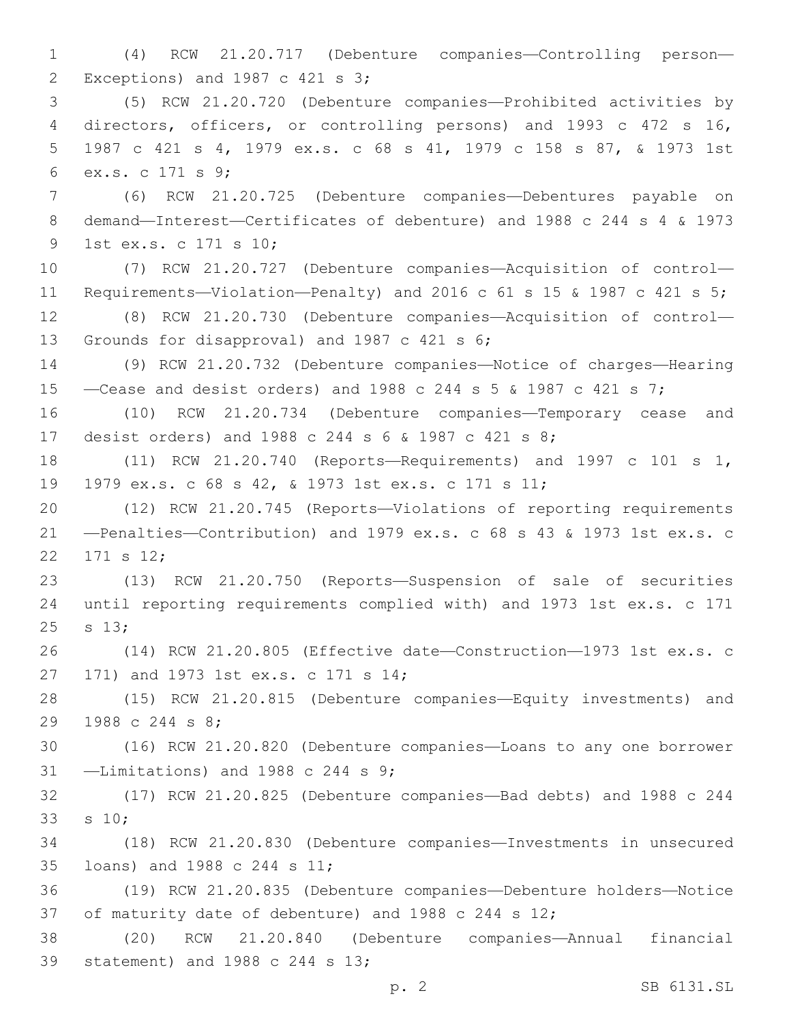(4) RCW 21.20.717 (Debenture companies—Controlling person— Exceptions) and 1987 c 421 s 3;2 (5) RCW 21.20.720 (Debenture companies—Prohibited activities by directors, officers, or controlling persons) and 1993 c 472 s 16, 1987 c 421 s 4, 1979 ex.s. c 68 s 41, 1979 c 158 s 87, & 1973 1st ex.s. c 171 s 9;6 (6) RCW 21.20.725 (Debenture companies—Debentures payable on demand—Interest—Certificates of debenture) and 1988 c 244 s 4 & 1973 9 1st ex.s. c 171 s 10; (7) RCW 21.20.727 (Debenture companies—Acquisition of control— Requirements—Violation—Penalty) and 2016 c 61 s 15 & 1987 c 421 s 5; (8) RCW 21.20.730 (Debenture companies—Acquisition of control— 13 Grounds for disapproval) and 1987 c 421 s 6; (9) RCW 21.20.732 (Debenture companies—Notice of charges—Hearing —Cease and desist orders) and 1988 c 244 s 5 & 1987 c 421 s 7; (10) RCW 21.20.734 (Debenture companies—Temporary cease and desist orders) and 1988 c 244 s 6 & 1987 c 421 s 8; (11) RCW 21.20.740 (Reports—Requirements) and 1997 c 101 s 1, 1979 ex.s. c 68 s 42, & 1973 1st ex.s. c 171 s 11; (12) RCW 21.20.745 (Reports—Violations of reporting requirements —Penalties—Contribution) and 1979 ex.s. c 68 s 43 & 1973 1st ex.s. c 22 171 s 12; (13) RCW 21.20.750 (Reports—Suspension of sale of securities until reporting requirements complied with) and 1973 1st ex.s. c 171 25 s 13; (14) RCW 21.20.805 (Effective date—Construction—1973 1st ex.s. c 27 171) and 1973 1st ex.s. c 171 s 14; (15) RCW 21.20.815 (Debenture companies—Equity investments) and 29 1988 c 244 s 8; (16) RCW 21.20.820 (Debenture companies—Loans to any one borrower  $-$ Limitations) and 1988 c 244 s 9; (17) RCW 21.20.825 (Debenture companies—Bad debts) and 1988 c 244 33 s 10; (18) RCW 21.20.830 (Debenture companies—Investments in unsecured 35 loans) and 1988 c 244 s 11; (19) RCW 21.20.835 (Debenture companies—Debenture holders—Notice of maturity date of debenture) and 1988 c 244 s 12; (20) RCW 21.20.840 (Debenture companies—Annual financial 39 statement) and 1988 c 244 s 13;

p. 2 SB 6131.SL